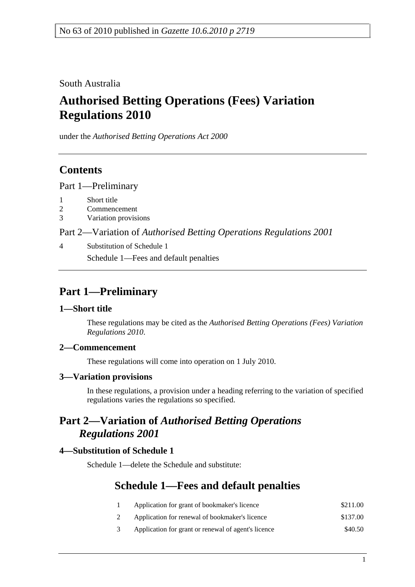South Australia

# **Authorised Betting Operations (Fees) Variation Regulations 2010**

under the *Authorised Betting Operations Act 2000*

### **Contents**

Part 1—Preliminary

- 1 Short title
- 2 Commencement
- 3 Variation provisions

Part 2—Variation of *Authorised Betting Operations Regulations 2001*

4 Substitution of Schedule 1 Schedule 1—Fees and default penalties

## **Part 1—Preliminary**

### **1—Short title**

These regulations may be cited as the *Authorised Betting Operations (Fees) Variation Regulations 2010*.

### **2—Commencement**

These regulations will come into operation on 1 July 2010.

### **3—Variation provisions**

In these regulations, a provision under a heading referring to the variation of specified regulations varies the regulations so specified.

### **Part 2—Variation of** *Authorised Betting Operations Regulations 2001*

### **4—Substitution of Schedule 1**

Schedule 1—delete the Schedule and substitute:

## **Schedule 1—Fees and default penalties**

| Application for grant of bookmaker's licence   | \$211.00 |
|------------------------------------------------|----------|
| Application for renewal of bookmaker's licence | \$137.00 |

3 Application for grant or renewal of agent's licence \$40.50